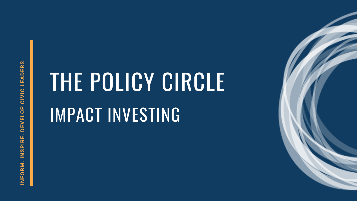**Z FORZ**<br>5<br>Σ <u>(၇</u> **PIR E. D EVELO**<u>ا م</u> **CIVIC LEADER**<u>က်</u>

# THE POLICY CIRCLE IMPACT INVESTING

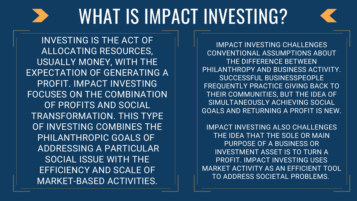## WHAT IS IMPACT INVESTING?

IMPACT INVESTING CHALLENGES THE DIFFERENCE BETWEEN SUCCESSFUL BUSINESSPEOPLE SIMULTANEOUSLY ACHIEVING SOCIAL

CONVENTIONAL ASSUMPTIONS ABOUT PHILANTHROPY AND BUSINESS ACTIVITY. FREQUENTLY PRACTICE GIVING BACK TO THEIR COMMUNITIES, BUT THE IDEA OF GOALS AND RETURNING A PROFIT IS NEW.

IMPACT INVESTING ALSO CHALLENGES MARKET ACTIVITY AS AN EFFICIENT TOOL



THE IDEA THAT THE SOLE OR MAIN PURPOSE OF A BUSINESS OR INVESTMENT ASSET IS TO TURN A PROFIT. IMPACT INVESTING USES TO ADDRESS SOCIETAL PROBLEMS.

INVESTING IS THE ACT OF ALLOCATING RESOURCES, USUALLY MONEY, WITH THE EXPECTATION OF GENERATING A PROFIT. IMPACT INVESTING FOCUSES ON THE COMBINATION OF PROFITS AND SOCIAL TRANSFORMATION. THIS TYPE OF INVESTING COMBINES THE PHILANTHROPIC GOALS OF ADDRESSING A PARTICULAR SOCIAL ISSUE WITH THE EFFICIENCY AND SCALE OF MARKET-BASED ACTIVITIES.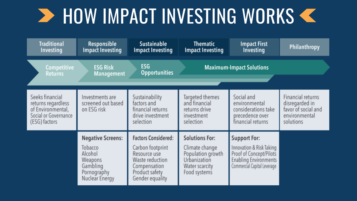### **> HOW IMPACT INVESTING WORKS <**

| <b>Traditional</b><br>Investing                                                                     | Responsible<br><b>Impact Investing</b>                                                                 | <b>Sustainable</b><br><b>Impact Investing</b>                                                                                          | <b>Thematic</b><br><b>Impact Investing</b>                                                                     | <b>Impact First</b><br>Investing                                                                                                          | Philanthropy                                                                             |
|-----------------------------------------------------------------------------------------------------|--------------------------------------------------------------------------------------------------------|----------------------------------------------------------------------------------------------------------------------------------------|----------------------------------------------------------------------------------------------------------------|-------------------------------------------------------------------------------------------------------------------------------------------|------------------------------------------------------------------------------------------|
| Competitive<br><b>Returns</b>                                                                       | <b>ESG Risk</b><br><b>Management</b>                                                                   | <b>ESG</b><br><b>Maximum-Impact Solutions</b><br><b>Opportunities</b>                                                                  |                                                                                                                |                                                                                                                                           |                                                                                          |
| Seeks financial<br>returns regardless<br>of Environmental,<br>Social or Governance<br>(ESG) factors | Investments are<br>screened out based<br>on ESG risk                                                   | Sustainability<br>factors and<br>financial returns<br>drive investment<br>selection                                                    | Targeted themes<br>and financial<br>returns drive<br>investment<br>selection                                   | Social and<br>environmental<br>considerations take<br>precedence over<br>financial returns                                                | Financial returns<br>disregarded in<br>favor of social and<br>environmental<br>solutions |
|                                                                                                     | <b>Negative Screens:</b><br>Tobacco<br>Alcohol<br>Weapons<br>Gambling<br>Pornography<br>Nuclear Energy | <b>Factors Considered:</b><br>Carbon footprint<br>Resource use<br>Waste reduction<br>Compensation<br>Product safety<br>Gender equality | <b>Solutions For:</b><br>Climate change<br>Population growth<br>Urbanization<br>Water scarcity<br>Food systems | <b>Support For:</b><br>Innovation & Risk Taking<br>Proof of Concept/Pilots<br><b>Enabling Environments</b><br>Commercial Capital Leverage |                                                                                          |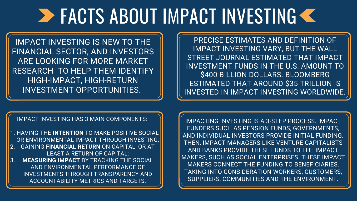### **EXACTS ABOUT IMPACT INVESTING &**

IMPACT INVESTING IS NEW TO THE FINANCIAL SECTOR, AND INVESTORS ARE LOOKING FOR MORE MARKET RESEARCH TO HELP THEM IDENTIFY HIGH-IMPACT, HIGH-RETURN INVESTMENT OPPORTUNITIES.

1. HAVING THE **INTENTION** TO MAKE POSITIVE SOCIAL OR ENVIRONMENTAL IMPACT THROUGH INVESTING; GAINING **FINANCIAL RETURN** ON CAPITAL, OR AT 2. LEAST A RETURN OF CAPITAL; **MEASURING IMPACT** BY TRACKING THE SOCIAL AND ENVIRONMENTAL PERFORMANCE OF INVESTMENTS THROUGH TRANSPARENCY AND ACCOUNTABILITY METRICS AND TARGETS. 3.

### IMPACT INVESTING HAS 3 MAIN COMPONENTS:

PRECISE ESTIMATES AND DEFINITION OF IMPACT INVESTING VARY, BUT THE WALL STREET JOURNAL ESTIMATED THAT IMPACT INVESTMENT FUNDS IN THE U.S. AMOUNT TO \$400 BILLION DOLLARS. BLOOMBERG ESTIMATED THAT AROUND \$35 TRILLION IS INVESTED IN IMPACT INVESTING WORLDWIDE.

IMPACTING INVESTING IS A 3-STEP PROCESS. IMPACT FUNDERS SUCH AS PENSION FUNDS, GOVERNMENTS, AND INDIVIDUAL INVESTORS PROVIDE INITIAL FUNDING. THEN, IMPACT MANAGERS LIKE VENTURE CAPITALISTS AND BANKS PROVIDE THESE FUNDS TO THE IMPACT MAKERS, SUCH AS SOCIAL ENTERPRISES. THESE IMPACT MAKERS CONNECT THE FUNDING TO BENEFICIARIES, TAKING INTO CONSIDERATION WORKERS, CUSTOMERS, SUPPLIERS, COMMUNITIES AND THE ENVIRONMENT.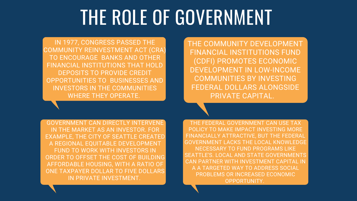## THE ROLE OF GOVERNMENT

IN 1977, CONGRESS PASSED THE COMMUNITY REINVESTMENT ACT (CRA) TO ENCOURAGE BANKS AND OTHER FINANCIAL INSTITUTIONS THAT HOLD DEPOSITS TO PROVIDE CREDIT OPPORTUNITIES TO BUSINESSES AND INVESTORS IN THE COMMUNITIES WHERE THEY OPERATE.

GOVERNMENT CAN DIRECTLY INTERVENE IN THE MARKET AS AN INVESTOR. FOR EXAMPLE, THE CITY OF SEATTLE CREATED A REGIONAL EQUITABLE DEVELOPMENT FUND TO WORK WITH INVESTORS IN ORDER TO OFFSET THE COST OF BUILDING AFFORDABLE HOUSING, WITH A RATIO OF ONE TAXPAYER DOLLAR TO FIVE DOLLARS IN PRIVATE INVESTMENT.

THE COMMUNITY DEVELOPMENT FINANCIAL INSTITUTIONS FUND (CDFI) PROMOTES ECONOMIC DEVELOPMENT IN LOW-INCOME COMMUNITIES BY INVESTING FEDERAL DOLLARS ALONGSIDE PRIVATE CAPITAL.

THE FEDERAL GOVERNMENT CAN USE TAX POLICY TO MAKE IMPACT INVESTING MORE FINANCIALLY ATTRACTIVE, BUT THE FEDERAL GOVERNMENT LACKS THE LOCAL KNOWLEDGE NECESSARY TO FUND PROGRAMS LIKE SEATTLE'S. LOCAL AND STATE GOVERNMENTS CAN PARTNER WITH INVESTMENT CAPITAL IN A A TARGETED WAY TO ADDRESS SOCIAL PROBLEMS OR INCREASED ECONOMIC OPPORTUNITY.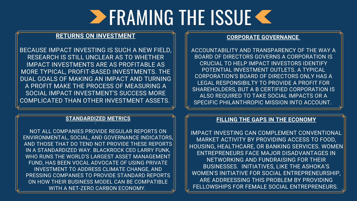### **FILLING THE GAPS IN THE ECONOMY**

IMPACT INVESTING CAN COMPLEMENT CONVENTIONAL MARKET ACTIVITY BY PROVIDING ACCESS TO FOOD, HOUSING, HEALTHCARE, OR BANKING SERVICES. WOMEN ENTREPRENEURS FACE MAJOR DISADVANTAGES IN NETWORKING AND FUNDRAISING FOR THEIR BUSINESSES. INITIATIVES, LIKE THE ASHOKA'S WOMEN'S INITIATIVE FOR SOCIAL ENTREPRENEURSHIP, ARE ADDREESSING THIS PROBLEM BY PROVIDING FELLOWSHIPS FOR FEMALE SOCIAL ENTREPRENEURS.



## **ERAMING THE ISSUE &**

### **RETURNS ON INVESTMENT**

### $\frac{1}{\cdot}$ **STANDARDIZED METRICS**

BECAUSE IMPACT INVESTING IS SUCH A NEW FIELD, RESEARCH IS STILL UNCLEAR AS TO WHETHER IMPACT INVESTMENTS ARE AS PROFITABLE AS MORE TYPICAL, PROFIT-BASED INVESTMENTS. THE DUAL GOALS OF MAKING AN IMPACT AND TURNING A PROFIT MAKE THE PROCESS OF MEASURING A SOCIAL IMPACT INVESTMENT'S SUCCESS MORE COMPLICATED THAN OTHER INVESTMENT ASSETS.

### **CORPORATE GOVERNANCE**

ACCOUNTABILITY AND TRANSPARENCY OF THE WAY A BOARD OF DIRECTORS GOVERNS A CORPORATION IS CRUCIAL TO HELP IMPACT INVESTORS IDENTIFY POTENTIAL INVESTMENT OUTLETS. A TYPICAL CORPORATION'S BOARD OF DIRECTORS ONLY HAS A LEGAL RESPONSIBILTY TO PROVIDE A PROFIT FOR SHAREHOLDERS, BUT A B CERTIFIED CORPORATION IS ALSO REQUIRED TO TAKE SOCIAL IMPACTS OR A SPECIFIC PHILANTHROPIC MISSION INTO ACCOUNT.

NOT ALL COMPANIES PROVIDE REGULAR REPORTS ON ENVIRONMENTAL, SOCIAL, AND GOVERNANCE INDICATORS, AND THOSE THAT DO TEND NOT PROVIDE THESE REPORTS IN A STANDARDIZED WAY. BLACKROCK CEO LARRY FUNK, WHO RUNS THE WORLD'S LARGEST ASSET MANAGEMENT FUND, HAS BEEN VOCAL ADVOCATE OF USING PRIVATE INVESTMENT TO ADDRESS CLIMATE CHANGE, AND PRESSING COMPANIES TO PROVIDE STANDARD REPORTS ON HOW THEIR BUSINESS MODEL CAN BE COMPATIBLE WITH A NET-ZERO CARBON ECONOMY.